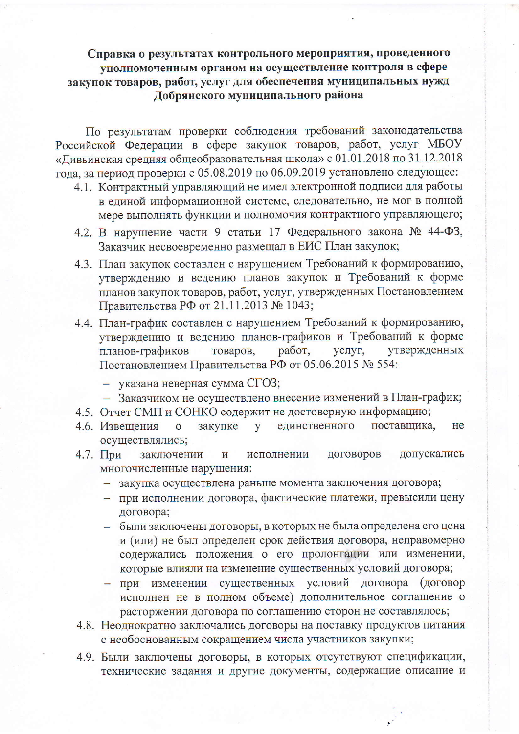## Справка о результатах контрольного мероприятия, проведенного уполномоченным органом на осуществление контроля в сфере закупок товаров, работ, услуг для обеспечения муниципальных нужд Добрянского муниципального района

По результатам проверки соблюдения требований законодательства Российской Федерации в сфере закупок товаров, работ, услуг МБОУ «Дивьинская средняя общеобразовательная школа» с 01.01.2018 по 31.12.2018 года, за период проверки с 05.08.2019 по 06.09.2019 установлено следующее:

- 4.1. Контрактный управляющий не имел электронной подписи для работы в единой информационной системе, следовательно, не мог в полной мере выполнять функции и полномочия контрактного управляющего;
- 4.2. В нарушение части 9 статьи 17 Федерального закона № 44-ФЗ, Заказчик несвоевременно размещал в ЕИС План закупок;
- 4.3. План закупок составлен с нарушением Требований к формированию, утверждению и ведению планов закупок и Требований к форме планов закупок товаров, работ, услуг, утвержденных Постановлением Правительства РФ от 21.11.2013 № 1043;
- 4.4. План-график составлен с нарушением Требований к формированию, утверждению и ведению планов-графиков и Требований к форме услуг, планов-графиков товаров, работ. утвержденных Постановлением Правительства РФ от 05.06.2015 № 554:
	- указана неверная сумма СГОЗ;
	- Заказчиком не осуществлено внесение изменений в План-график;
- 4.5. Отчет СМП и СОНКО содержит не достоверную информацию;
- 4.6. Извещения закупке y единственного поставщика, He  $\overline{O}$ осуществлялись;
- 4.7. При ДОГОВОРОВ допускались заключении  $\overline{\mathbf{M}}$ исполнении многочисленные нарушения:
	- закупка осуществлена раньше момента заключения договора;
	- при исполнении договора, фактические платежи, превысили цену договора;
	- были заключены договоры, в которых не была определена его цена и (или) не был определен срок действия договора, неправомерно содержались положения о его пролонгации или изменении, которые влияли на изменение существенных условий договора;
	- при изменении существенных условий договора (договор исполнен не в полном объеме) дополнительное соглашение о расторжении договора по соглашению сторон не составлялось;
- 4.8. Неоднократно заключались договоры на поставку продуктов питания с необоснованным сокращением числа участников закупки;
- 4.9. Были заключены договоры, в которых отсутствуют спецификации, технические задания и другие документы, содержащие описание и